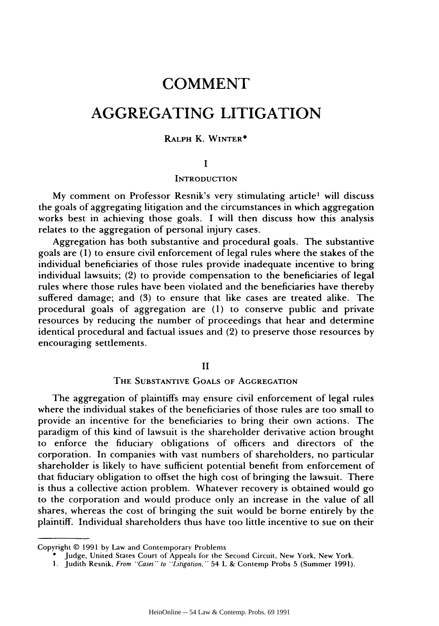# **COMMENT**

# **AGGREGATING LITIGATION**

## **RALPH** K. **WINTER\***

### **I**

### **INTRODUCTION**

**My** comment on Professor Resnik's very stimulating article' will discuss the goals of aggregating litigation and the circumstances in which aggregation works best in achieving those goals. I will then discuss how this analysis relates to the aggregation of personal injury cases.

Aggregation has both substantive and procedural goals. The substantive goals are (1) to ensure civil enforcement of legal rules where the stakes of the individual beneficiaries of those rules provide inadequate incentive to bring individual lawsuits; (2) to provide compensation to the beneficiaries of legal rules where those rules have been violated and the beneficiaries have thereby suffered damage; and (3) to ensure that like cases are treated alike. The procedural goals of aggregation are (1) to conserve public and private resources by reducing the number of proceedings that hear and determine identical procedural and factual issues and (2) to preserve those resources by encouraging settlements.

#### II

### THE **SUBSTANTIVE GOALS** OF **AGGREGATION**

The aggregation of plaintiffs may ensure civil enforcement of legal rules where the individual stakes of the beneficiaries of those rules are too small to provide an incentive for the beneficiaries to bring their own actions. The paradigm of this kind of lawsuit is the shareholder derivative action brought to enforce the fiduciary obligations of officers and directors of the corporation. In companies with vast numbers of shareholders, no particular shareholder is likely to have sufficient potential benefit from enforcement of that fiduciary obligation to offset the high cost of bringing the lawsuit. There is thus a collective action problem. Whatever recovery is obtained would go to the corporation and would produce only an increase in the value of all shares, whereas the cost of bringing the suit would be borne entirely by the plaintiff. Individual shareholders thus have too little incentive to sue on their

Copyright **© 1991 by** Law and Contemporary Problems

<sup>\*</sup> Judge, United States Court of Appeals for the Second Circuit, New York, New York.

**<sup>1.</sup>** Judith Resnik, *From "Cases" to "'Litigation, -* 54 L & Contemp Probs 5 (Summer 1991).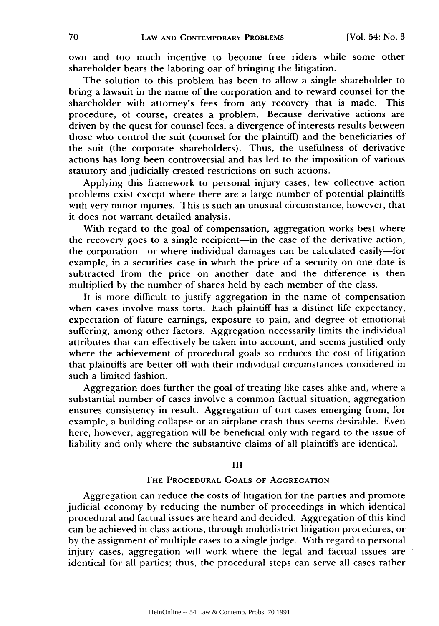own and too much incentive to become free riders while some other shareholder bears the laboring oar of bringing the litigation.

The solution to this problem has been to allow a single shareholder to bring a lawsuit in the name of the corporation and to reward counsel for the shareholder with attorney's fees from any recovery that is made. This procedure, of course, creates a problem. Because derivative actions are driven by the quest for counsel fees, a divergence of interests results between those who control the suit (counsel for the plaintiff) and the beneficiaries of the suit (the corporate shareholders). Thus, the usefulness of derivative actions has long been controversial and has led to the imposition of various statutory and judicially created restrictions on such actions.

Applying this framework to personal injury cases, few collective action problems exist except where there are a large number of potential plaintiffs with very minor injuries. This is such an unusual circumstance, however, that it does not warrant detailed analysis.

With regard to the goal of compensation, aggregation works best where the recovery goes to a single recipient-in the case of the derivative action, the corporation-or where individual damages can be calculated easily-for example, in a securities case in which the price of a security on one date is subtracted from the price on another date and the difference is then multiplied by the number of shares held by each member of the class.

It is more difficult to justify aggregation in the name of compensation when cases involve mass torts. Each plaintiff has a distinct life expectancy, expectation of future earnings, exposure to pain, and degree of emotional suffering, among other factors. Aggregation necessarily limits the individual attributes that can effectively be taken into account, and seems justified only where the achievement of procedural goals so reduces the cost of litigation that plaintiffs are better off with their individual circumstances considered in such a limited fashion.

Aggregation does further the goal of treating like cases alike and, where a substantial number of cases involve a common factual situation, aggregation ensures consistency in result. Aggregation of tort cases emerging from, for example, a building collapse or an airplane crash thus seems desirable. Even here, however, aggregation will be beneficial only with regard to the issue of liability and only where the substantive claims of all plaintiffs are identical.

## III

### THE PROCEDURAL **GOALS** OF AGGREGATION

Aggregation can reduce the costs of litigation for the parties and promote judicial economy by reducing the number of proceedings in which identical procedural and factual issues are heard and decided. Aggregation of this kind can be achieved in class actions, through multidistrict litigation procedures, or by the assignment of multiple cases to a single judge. With regard to personal injury cases, aggregation will work where the legal and factual issues are identical for all parties; thus, the procedural steps can serve all cases rather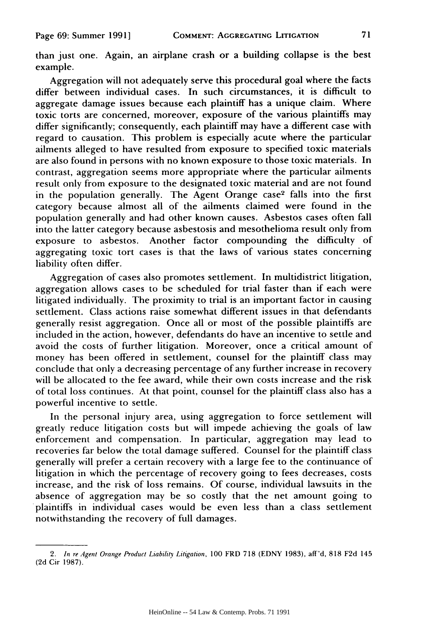than just one. Again, an airplane crash or a building collapse is the best example.

Aggregation will not adequately serve this procedural goal where the facts differ between individual cases. In such circumstances, it is difficult to aggregate damage issues because each plaintiff has a unique claim. Where toxic torts are concerned, moreover, exposure of the various plaintiffs may differ significantly; consequently, each plaintiff may have a different case with regard to causation. This problem is especially acute where the particular ailments alleged to have resulted from exposure to specified toxic materials are also found in persons with no known exposure to those toxic materials. In contrast, aggregation seems more appropriate where the particular ailments result only from exposure to the designated toxic material and are not found in the population generally. The Agent Orange case<sup>2</sup> falls into the first category because almost all of the ailments claimed were found in the population generally and had other known causes. Asbestos cases often fall into the latter category because asbestosis and mesothelioma result only from exposure to asbestos. Another factor compounding the difficulty of aggregating toxic tort cases is that the laws of various states concerning liability often differ.

Aggregation of cases also promotes settlement. In multidistrict litigation, aggregation allows cases to be scheduled for trial faster than if each were litigated individually. The proximity to trial is an important factor in causing settlement. Class actions raise somewhat different issues in that defendants generally resist aggregation. Once all or most of the possible plaintiffs are included in the action, however, defendants do have an incentive to settle and avoid the costs of further litigation. Moreover, once a critical amount of money has been offered in settlement, counsel for the plaintiff class may conclude that only a decreasing percentage of any further increase in recovery will be allocated to the fee award, while their own costs increase and the risk of total loss continues. At that point, counsel for the plaintiff class also has a powerful incentive to settle.

In the personal injury area, using aggregation to force settlement will greatly reduce litigation costs but will impede achieving the goals of law enforcement and compensation. In particular, aggregation may lead to recoveries far below the total damage suffered. Counsel for the plaintiff class generally will prefer a certain recovery with a large fee to the continuance of litigation in which the percentage of recovery going to fees decreases, costs increase, and the risk of loss remains. Of course, individual lawsuits in the absence of aggregation may be so costly that the net amount going to plaintiffs in individual cases would be even less than a class settlement notwithstanding the recovery of full damages.

<sup>2.</sup> *In re Agent Orange Product Liability Litigation,* **100** FRD **718 (EDNY 1983),** aff'd, 818 F2d 145 (2d Cir 1987).